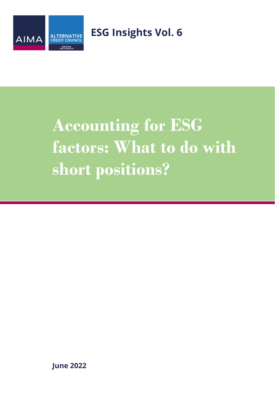

**ESG Insights Vol. 6** 

# **Accounting for ESG factors: What to do with short positions?**

**June 2022**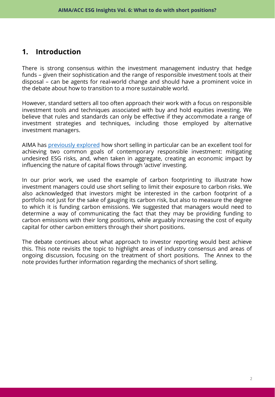# **1. Introduction**

There is strong consensus within the investment management industry that hedge funds – given their sophistication and the range of responsible investment tools at their disposal – can be agents for real-world change and should have a prominent voice in the debate about how to transition to a more sustainable world.

However, standard setters all too often approach their work with a focus on responsible investment tools and techniques associated with buy and hold equities investing. We believe that rules and standards can only be effective if they accommodate a range of investment strategies and techniques, including those employed by alternative investment managers.

AIMA has [previously](https://www.aima.org/asset/8EAC1E4B-E7D1-42C0-BAEBDF4A3BC8540A/) explored how short selling in particular can be an excellent tool for achieving two common goals of contemporary responsible investment: mitigating undesired ESG risks, and, when taken in aggregate, creating an economic impact by influencing the nature of capital flows through 'active' investing.

In our prior work, we used the example of carbon footprinting to illustrate how investment managers could use short selling to limit their exposure to carbon risks. We also acknowledged that investors might be interested in the carbon footprint of a portfolio not just for the sake of gauging its carbon risk, but also to measure the degree to which it is funding carbon emissions. We suggested that managers would need to determine a way of communicating the fact that they may be providing funding to carbon emissions with their long positions, while arguably increasing the cost of equity capital for other carbon emitters through their short positions.

The debate continues about what approach to investor reporting would best achieve this. This note revisits the topic to highlight areas of industry consensus and areas of ongoing discussion, focusing on the treatment of short positions. The Annex to the note provides further information regarding the mechanics of short selling.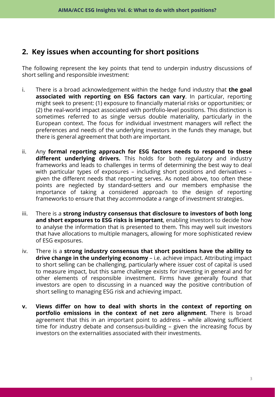# **2. Key issues when accounting for short positions**

The following represent the key points that tend to underpin industry discussions of short selling and responsible investment:

- i. There is a broad acknowledgement within the hedge fund industry that **the goal associated with reporting on ESG factors can vary**. In particular, reporting might seek to present: (1) exposure to financially material risks or opportunities; or (2) the real-world impact associated with portfolio-level positions. This distinction is sometimes referred to as single versus double materiality, particularly in the European context. The focus for individual investment managers will reflect the preferences and needs of the underlying investors in the funds they manage, but there is general agreement that both are important.
- ii. Any **formal reporting approach for ESG factors needs to respond to these different underlying drivers.** This holds for both regulatory and industry frameworks and leads to challenges in terms of determining the best way to deal with particular types of exposures – including short positions and derivatives – given the different needs that reporting serves. As noted above, too often these points are neglected by standard-setters and our members emphasise the importance of taking a considered approach to the design of reporting frameworks to ensure that they accommodate a range of investment strategies.
- iii. There is a **strong industry consensus that disclosure to investors of both long and short exposures to ESG risks is important**, enabling investors to decide how to analyse the information that is presented to them. This may well suit investors that have allocations to multiple managers, allowing for more sophisticated review of ESG exposures.
- iv. There is a **strong industry consensus that short positions have the ability to drive change in the underlying economy** – i.e. achieve impact. Attributing impact to short selling can be challenging, particularly where issuer cost of capital is used to measure impact, but this same challenge exists for investing in general and for other elements of responsible investment. Firms have generally found that investors are open to discussing in a nuanced way the positive contribution of short selling to managing ESG risk and achieving impact.
- **v. Views differ on how to deal with shorts in the context of reporting on portfolio emissions in the context of net zero alignment**. There is broad agreement that this in an important point to address – while allowing sufficient time for industry debate and consensus-building – given the increasing focus by investors on the externalities associated with their investments.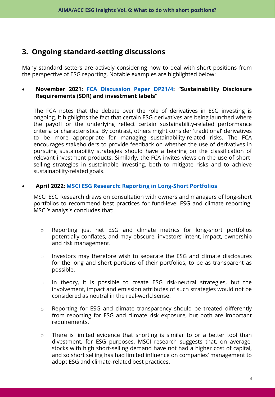# **3. Ongoing standard-setting discussions**

Many standard setters are actively considering how to deal with short positions from the perspective of ESG reporting. Notable examples are highlighted below:

### • **November 2021: FCA [Discussion](https://www.fca.org.uk/publication/discussion/dp21-4.pdf) Paper DP21/4: "Sustainability Disclosure Requirements (SDR) and investment labels"**

The FCA notes that the debate over the role of derivatives in ESG investing is ongoing. It highlights the fact that certain ESG derivatives are being launched where the payoff or the underlying reflect certain sustainability-related performance criteria or characteristics. By contrast, others might consider 'traditional' derivatives to be more appropriate for managing sustainability-related risks. The FCA encourages stakeholders to provide feedback on whether the use of derivatives in pursuing sustainability strategies should have a bearing on the classification of relevant investment products. Similarly, the FCA invites views on the use of shortselling strategies in sustainable investing, both to mitigate risks and to achieve sustainability-related goals.

## • **April 2022: MSCI ESG Research: Reporting in [Long-Short](https://www.msci.com/www/research-paper/long-short-esg-investing-best/03136460396) Portfolios**

MSCI ESG Research draws on consultation with owners and managers of long-short portfolios to recommend best practices for fund-level ESG and climate reporting. MSCI's analysis concludes that:

- o Reporting just net ESG and climate metrics for long-short portfolios potentially conflates, and may obscure, investors' intent, impact, ownership and risk management.
- o Investors may therefore wish to separate the ESG and climate disclosures for the long and short portions of their portfolios, to be as transparent as possible.
- o In theory, it is possible to create ESG risk-neutral strategies, but the involvement, impact and emission attributes of such strategies would not be considered as neutral in the real-world sense.
- o Reporting for ESG and climate transparency should be treated differently from reporting for ESG and climate risk exposure, but both are important requirements.
- $\circ$  There is limited evidence that shorting is similar to or a better tool than divestment, for ESG purposes. MSCI research suggests that, on average, stocks with high short-selling demand have not had a higher cost of capital, and so short selling has had limited influence on companies' management to adopt ESG and climate-related best practices.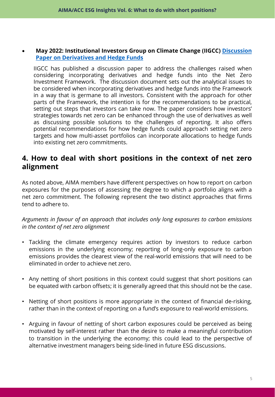#### • **May 2022: Institutional Investors Group on Climate Change (IIGCC) Discussion Paper on [Derivatives](https://www.iigcc.org/resource/net-zero-investment-framework-implementation-guide/) and Hedge Funds**

IIGCC has published a discussion paper to address the challenges raised when considering incorporating derivatives and hedge funds into the Net Zero Investment Framework. The discussion document sets out the analytical issues to be considered when incorporating derivatives and hedge funds into the Framework in a way that is germane to all investors. Consistent with the approach for other parts of the Framework, the intention is for the recommendations to be practical, setting out steps that investors can take now. The paper considers how investors' strategies towards net zero can be enhanced through the use of derivatives as well as discussing possible solutions to the challenges of reporting. It also offers potential recommendations for how hedge funds could approach setting net zero targets and how multi-asset portfolios can incorporate allocations to hedge funds into existing net zero commitments.

## **4. How to deal with short positions in the context of net zero alignment**

As noted above, AIMA members have different perspectives on how to report on carbon exposures for the purposes of assessing the degree to which a portfolio aligns with a net zero commitment. The following represent the two distinct approaches that firms tend to adhere to.

*Arguments in favour of an approach that includes only long exposures to carbon emissions in the context of net zero alignment*

- Tackling the climate emergency requires action by investors to reduce carbon emissions in the underlying economy; reporting of long-only exposure to carbon emissions provides the clearest view of the real-world emissions that will need to be eliminated in order to achieve net zero.
- Any netting of short positions in this context could suggest that short positions can be equated with carbon offsets; it is generally agreed that this should not be the case.
- Netting of short positions is more appropriate in the context of financial de-risking, rather than in the context of reporting on a fund's exposure to real-world emissions.
- Arguing in favour of netting of short carbon exposures could be perceived as being motivated by self-interest rather than the desire to make a meaningful contribution to transition in the underlying the economy; this could lead to the perspective of alternative investment managers being side-lined in future ESG discussions.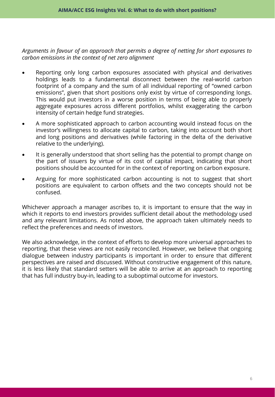*Arguments in favour of an approach that permits a degree of netting for short exposures to carbon emissions in the context of net zero alignment*

- Reporting only long carbon exposures associated with physical and derivatives holdings leads to a fundamental disconnect between the real-world carbon footprint of a company and the sum of all individual reporting of "owned carbon emissions", given that short positions only exist by virtue of corresponding longs. This would put investors in a worse position in terms of being able to properly aggregate exposures across different portfolios, whilst exaggerating the carbon intensity of certain hedge fund strategies.
- A more sophisticated approach to carbon accounting would instead focus on the investor's willingness to allocate capital to carbon, taking into account both short and long positions and derivatives (while factoring in the delta of the derivative relative to the underlying).
- It is generally understood that short selling has the potential to prompt change on the part of issuers by virtue of its cost of capital impact, indicating that short positions should be accounted for in the context of reporting on carbon exposure.
- Arguing for more sophisticated carbon accounting is not to suggest that short positions are equivalent to carbon offsets and the two concepts should not be confused.

Whichever approach a manager ascribes to, it is important to ensure that the way in which it reports to end investors provides sufficient detail about the methodology used and any relevant limitations. As noted above, the approach taken ultimately needs to reflect the preferences and needs of investors.

We also acknowledge, in the context of efforts to develop more universal approaches to reporting, that these views are not easily reconciled. However, we believe that ongoing dialogue between industry participants is important in order to ensure that different perspectives are raised and discussed. Without constructive engagement of this nature, it is less likely that standard setters will be able to arrive at an approach to reporting that has full industry buy-in, leading to a suboptimal outcome for investors.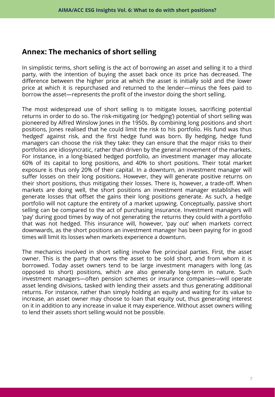## **Annex: The mechanics of short selling**

In simplistic terms, short selling is the act of borrowing an asset and selling it to a third party, with the intention of buying the asset back once its price has decreased. The difference between the higher price at which the asset is initially sold and the lower price at which it is repurchased and returned to the lender—minus the fees paid to borrow the asset—represents the profit of the investor doing the short selling.

The most widespread use of short selling is to mitigate losses, sacrificing potential returns in order to do so. The risk-mitigating (or 'hedging') potential of short selling was pioneered by Alfred Winslow Jones in the 1950s. By combining long positions and short positions, Jones realised that he could limit the risk to his portfolio. His fund was thus 'hedged' against risk, and the first hedge fund was born. By hedging, hedge fund managers can choose the risk they take: they can ensure that the major risks to their portfolios are idiosyncratic, rather than driven by the general movement of the markets. For instance, in a long-biased hedged portfolio, an investment manager may allocate 60% of its capital to long positions, and 40% to short positions. Their total market exposure is thus only 20% of their capital. In a downturn, an investment manager will suffer losses on their long positions. However, they will generate positive returns on their short positions, thus mitigating their losses. There is, however, a trade-off. When markets are doing well, the short positions an investment manager establishes will generate losses that offset the gains their long positions generate. As such, a hedge portfolio will not capture the entirety of a market upswing. Conceptually, passive short selling can be compared to the act of purchasing insurance. Investment managers will 'pay' during good times by way of not generating the returns they could with a portfolio that was not hedged. This insurance will, however, 'pay out' when markets correct downwards, as the short positions an investment manager has been paying for in good times will limit its losses when markets experience a downturn.

The mechanics involved in short selling involve five principal parties. First, the asset owner. This is the party that owns the asset to be sold short, and from whom it is borrowed. Today asset owners tend to be large investment managers with long (as opposed to short) positions, which are also generally long-term in nature. Such investment managers—often pension schemes or insurance companies—will operate asset lending divisions, tasked with lending their assets and thus generating additional returns. For instance, rather than simply holding an equity and waiting for its value to increase, an asset owner may choose to loan that equity out, thus generating interest on it in addition to any increase in value it may experience. Without asset owners willing to lend their assets short selling would not be possible.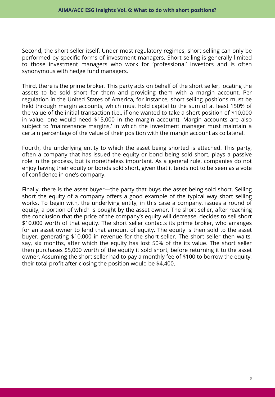Second, the short seller itself. Under most regulatory regimes, short selling can only be performed by specific forms of investment managers. Short selling is generally limited to those investment managers who work for 'professional' investors and is often synonymous with hedge fund managers.

Third, there is the prime broker. This party acts on behalf of the short seller, locating the assets to be sold short for them and providing them with a margin account. Per regulation in the United States of America, for instance, short selling positions must be held through margin accounts, which must hold capital to the sum of at least 150% of the value of the initial transaction (i.e., if one wanted to take a short position of \$10,000 in value, one would need \$15,000 in the margin account). Margin accounts are also subject to 'maintenance margins,' in which the investment manager must maintain a certain percentage of the value of their position with the margin account as collateral.

Fourth, the underlying entity to which the asset being shorted is attached. This party, often a company that has issued the equity or bond being sold short, plays a passive role in the process, but is nonetheless important. As a general rule, companies do not enjoy having their equity or bonds sold short, given that it tends not to be seen as a vote of confidence in one's company.

Finally, there is the asset buyer—the party that buys the asset being sold short. Selling short the equity of a company offers a good example of the typical way short selling works. To begin with, the underlying entity, in this case a company, issues a round of equity, a portion of which is bought by the asset owner. The short seller, after reaching the conclusion that the price of the company's equity will decrease, decides to sell short \$10,000 worth of that equity. The short seller contacts its prime broker, who arranges for an asset owner to lend that amount of equity. The equity is then sold to the asset buyer, generating \$10,000 in revenue for the short seller. The short seller then waits, say, six months, after which the equity has lost 50% of the its value. The short seller then purchases \$5,000 worth of the equity it sold short, before returning it to the asset owner. Assuming the short seller had to pay a monthly fee of \$100 to borrow the equity, their total profit after closing the position would be \$4,400.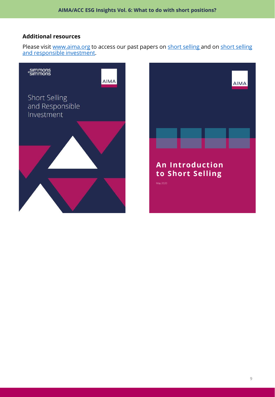#### **Additional resources**

Please visit [www.aima.org](http://www.aima.org/) [to access our past papers on](https://www.aima.org/sound-practices/industry-guides/short-selling-and-responsible-investment.html) [short selling](https://www.aima.org/static/58c1345a-72dd-4a31-a488570249876267/Short-Selling-Guide-May-2020-final.pdf) and on short selling and responsible investment.